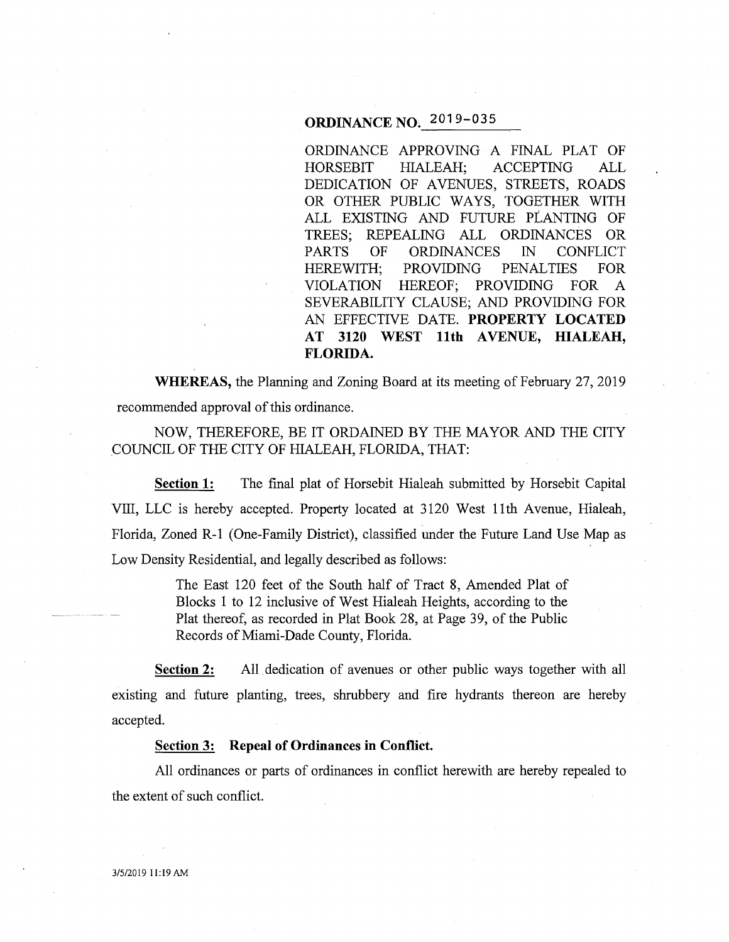# **ORDINANCE NO;** 2019-035

ORDINANCE APPROVING A FINAL PLAT OF HORSEBIT HIALEAH; ACCEPTING ALL DEDICATION OF AVENUES, STREETS, ROADS OR OTHER PUBLIC WAYS, TOGETHER WITH ALL EXISTING AND FUTURE PLANTING OF TREES; REPEALING ALL ORDINANCES OR PARTS OF ORDINANCES IN CONFLICT HEREWITH; PROVIDING PENALTIES FOR VIOLATION HEREOF; PROVIDING FOR A SEVERABILITY CLAUSE; AND PROVIDING FOR AN EFFECTIVE DATE. **PROPERTY LOCATED AT 3120 WEST 11th A VENUE, HIALEAH, FLORIDA.** 

**WHEREAS,** the Planning and Zoning Board at its meeting of February 27, 2019 recommended approval of this ordinance.

NOW, THEREFORE, BE IT ORDAINED BY THE MAYOR AND THE CITY .COUNCIL OF THE CITY OF HIALEAH, FLORIDA, THAT:

**Section 1:** The final plat of Horsebit Hialeah submitted by Horsebit Capital VIII, LLC is hereby accepted. Property located at 3120 West 11th Avenue, Hialeah, Florida, Zoned R-1 (One-Family District), classified under the Future Land Use Map as Low Density Residential, and legally described as follows:

> The East 120 feet of the South half of Tract 8, Amended Plat of Blocks 1 to 12 inclusive of West Hialeah Heights, according to the Plat thereof, as recorded in Plat Book 28, at Page 39, of the Public Records of Miami-Dade County, Florida.

**Section 2:** All dedication of avenues or other public ways together with all existing and future planting, trees, shrubbery and fire hydrants thereon are hereby accepted.

### **Section 3: Repeal of Ordinances in Conflict.**

All ordinances or parts of ordinances in conflict herewith are hereby repealed to the extent of such conflict.